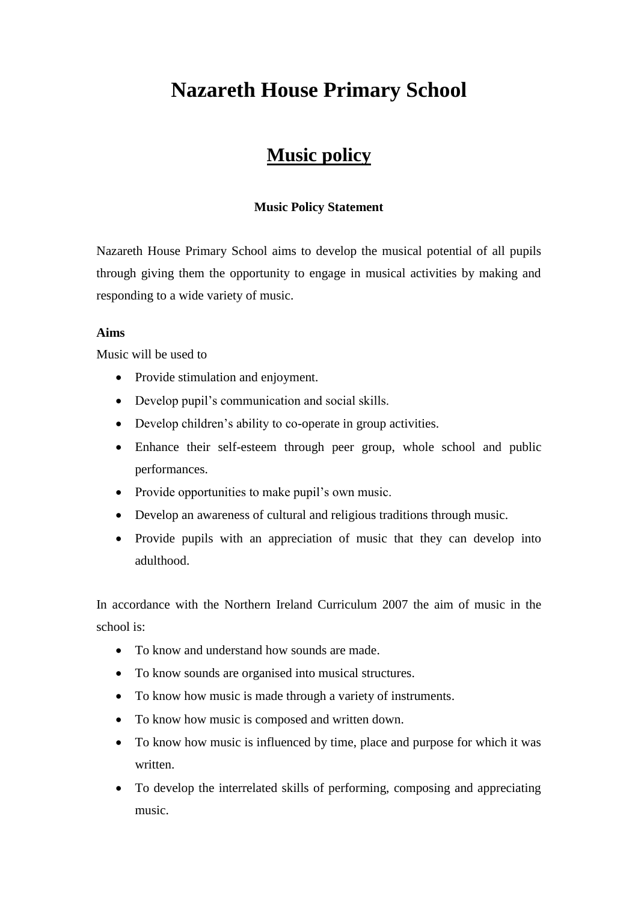# **Nazareth House Primary School**

# **Music policy**

# **Music Policy Statement**

Nazareth House Primary School aims to develop the musical potential of all pupils through giving them the opportunity to engage in musical activities by making and responding to a wide variety of music.

# **Aims**

Music will be used to

- Provide stimulation and enjoyment.
- Develop pupil's communication and social skills.
- Develop children's ability to co-operate in group activities.
- Enhance their self-esteem through peer group, whole school and public performances.
- Provide opportunities to make pupil's own music.
- Develop an awareness of cultural and religious traditions through music.
- Provide pupils with an appreciation of music that they can develop into adulthood.

In accordance with the Northern Ireland Curriculum 2007 the aim of music in the school is:

- To know and understand how sounds are made.
- To know sounds are organised into musical structures.
- To know how music is made through a variety of instruments.
- To know how music is composed and written down.
- To know how music is influenced by time, place and purpose for which it was written.
- To develop the interrelated skills of performing, composing and appreciating music.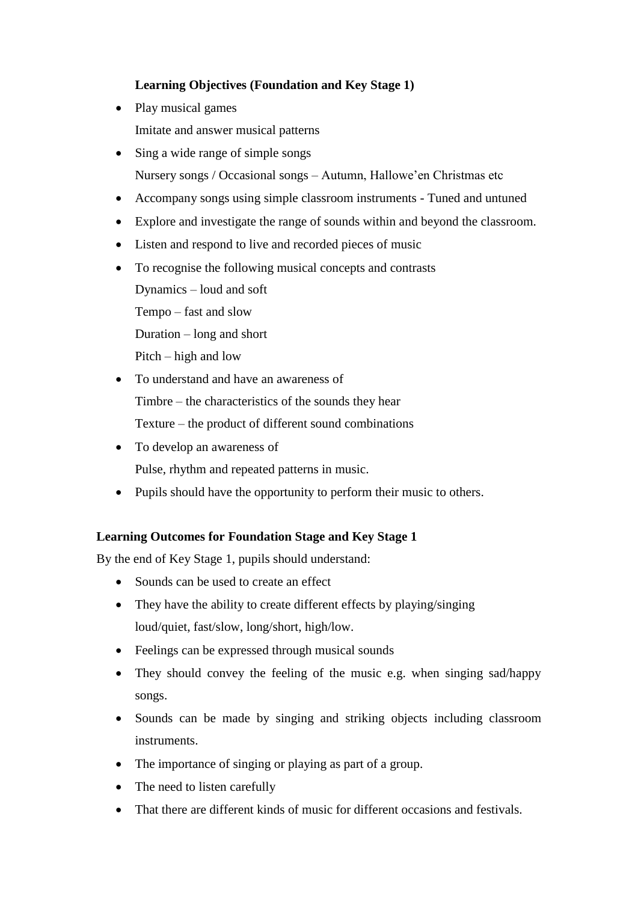# **Learning Objectives (Foundation and Key Stage 1)**

- Play musical games Imitate and answer musical patterns
- Sing a wide range of simple songs Nursery songs / Occasional songs – Autumn, Hallowe'en Christmas etc
- Accompany songs using simple classroom instruments Tuned and untuned
- Explore and investigate the range of sounds within and beyond the classroom.
- Listen and respond to live and recorded pieces of music
- To recognise the following musical concepts and contrasts

Dynamics – loud and soft

Tempo – fast and slow

Duration – long and short

Pitch – high and low

- To understand and have an awareness of Timbre – the characteristics of the sounds they hear Texture – the product of different sound combinations
- To develop an awareness of Pulse, rhythm and repeated patterns in music.
- Pupils should have the opportunity to perform their music to others.

# **Learning Outcomes for Foundation Stage and Key Stage 1**

By the end of Key Stage 1, pupils should understand:

- Sounds can be used to create an effect
- They have the ability to create different effects by playing/singing loud/quiet, fast/slow, long/short, high/low.
- Feelings can be expressed through musical sounds
- They should convey the feeling of the music e.g. when singing sad/happy songs.
- Sounds can be made by singing and striking objects including classroom instruments.
- The importance of singing or playing as part of a group.
- The need to listen carefully
- That there are different kinds of music for different occasions and festivals.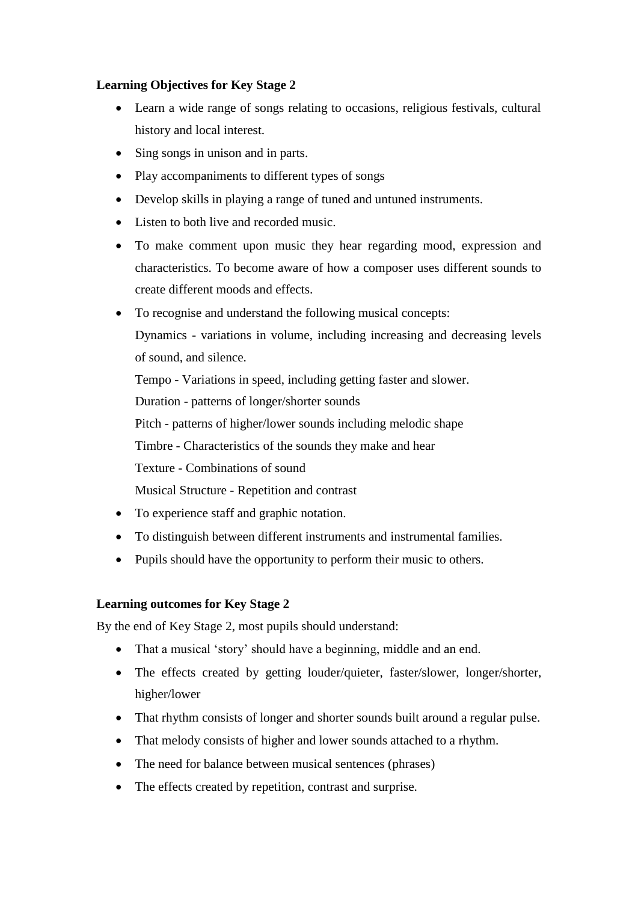# **Learning Objectives for Key Stage 2**

- Learn a wide range of songs relating to occasions, religious festivals, cultural history and local interest.
- Sing songs in unison and in parts.
- Play accompaniments to different types of songs
- Develop skills in playing a range of tuned and untuned instruments.
- Listen to both live and recorded music.
- To make comment upon music they hear regarding mood, expression and characteristics. To become aware of how a composer uses different sounds to create different moods and effects.
- To recognise and understand the following musical concepts:

Dynamics - variations in volume, including increasing and decreasing levels of sound, and silence.

Tempo - Variations in speed, including getting faster and slower.

Duration - patterns of longer/shorter sounds

Pitch - patterns of higher/lower sounds including melodic shape

Timbre - Characteristics of the sounds they make and hear

Texture - Combinations of sound

Musical Structure - Repetition and contrast

- To experience staff and graphic notation.
- To distinguish between different instruments and instrumental families.
- Pupils should have the opportunity to perform their music to others.

# **Learning outcomes for Key Stage 2**

By the end of Key Stage 2, most pupils should understand:

- That a musical 'story' should have a beginning, middle and an end.
- The effects created by getting louder/quieter, faster/slower, longer/shorter, higher/lower
- That rhythm consists of longer and shorter sounds built around a regular pulse.
- That melody consists of higher and lower sounds attached to a rhythm.
- The need for balance between musical sentences (phrases)
- The effects created by repetition, contrast and surprise.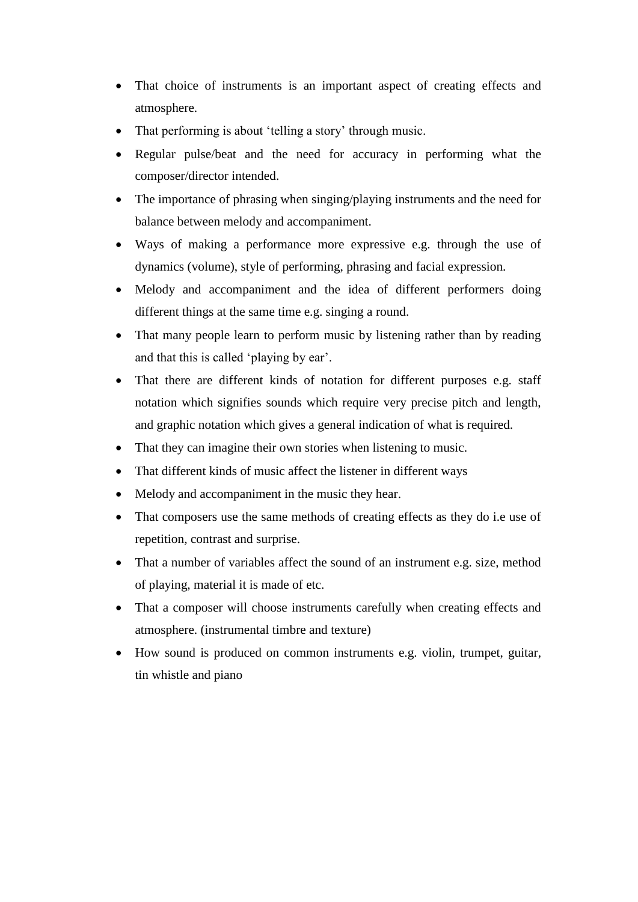- That choice of instruments is an important aspect of creating effects and atmosphere.
- That performing is about 'telling a story' through music.
- Regular pulse/beat and the need for accuracy in performing what the composer/director intended.
- The importance of phrasing when singing/playing instruments and the need for balance between melody and accompaniment.
- Ways of making a performance more expressive e.g. through the use of dynamics (volume), style of performing, phrasing and facial expression.
- Melody and accompaniment and the idea of different performers doing different things at the same time e.g. singing a round.
- That many people learn to perform music by listening rather than by reading and that this is called 'playing by ear'.
- That there are different kinds of notation for different purposes e.g. staff notation which signifies sounds which require very precise pitch and length, and graphic notation which gives a general indication of what is required.
- That they can imagine their own stories when listening to music.
- That different kinds of music affect the listener in different ways
- Melody and accompaniment in the music they hear.
- That composers use the same methods of creating effects as they do i.e use of repetition, contrast and surprise.
- That a number of variables affect the sound of an instrument e.g. size, method of playing, material it is made of etc.
- That a composer will choose instruments carefully when creating effects and atmosphere. (instrumental timbre and texture)
- How sound is produced on common instruments e.g. violin, trumpet, guitar, tin whistle and piano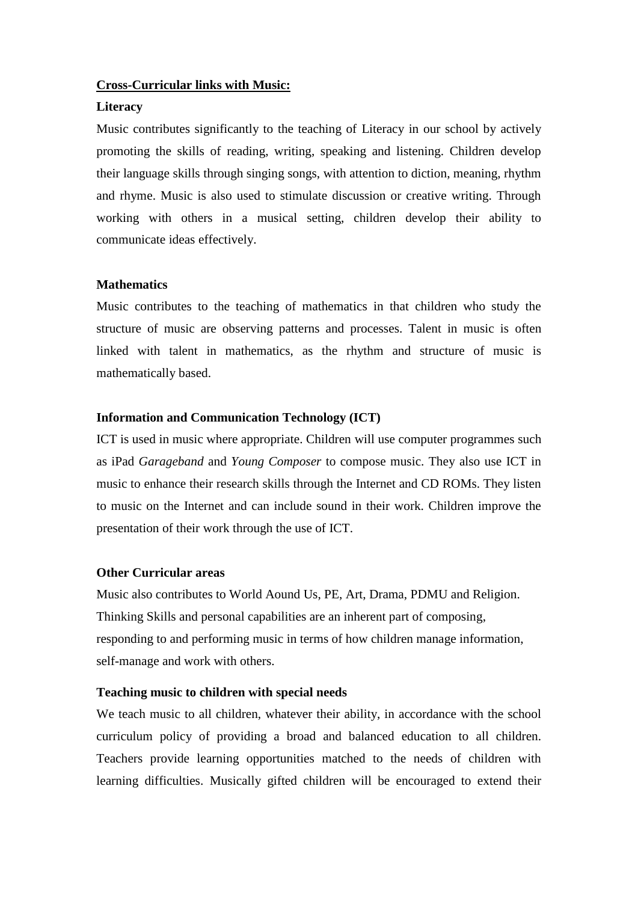# **Cross-Curricular links with Music:**

# **Literacy**

Music contributes significantly to the teaching of Literacy in our school by actively promoting the skills of reading, writing, speaking and listening. Children develop their language skills through singing songs, with attention to diction, meaning, rhythm and rhyme. Music is also used to stimulate discussion or creative writing. Through working with others in a musical setting, children develop their ability to communicate ideas effectively.

#### **Mathematics**

Music contributes to the teaching of mathematics in that children who study the structure of music are observing patterns and processes. Talent in music is often linked with talent in mathematics, as the rhythm and structure of music is mathematically based.

# **Information and Communication Technology (ICT)**

ICT is used in music where appropriate. Children will use computer programmes such as iPad *Garageband* and *Young Composer* to compose music. They also use ICT in music to enhance their research skills through the Internet and CD ROMs. They listen to music on the Internet and can include sound in their work. Children improve the presentation of their work through the use of ICT.

# **Other Curricular areas**

Music also contributes to World Aound Us, PE, Art, Drama, PDMU and Religion. Thinking Skills and personal capabilities are an inherent part of composing, responding to and performing music in terms of how children manage information, self-manage and work with others.

# **Teaching music to children with special needs**

We teach music to all children, whatever their ability, in accordance with the school curriculum policy of providing a broad and balanced education to all children. Teachers provide learning opportunities matched to the needs of children with learning difficulties. Musically gifted children will be encouraged to extend their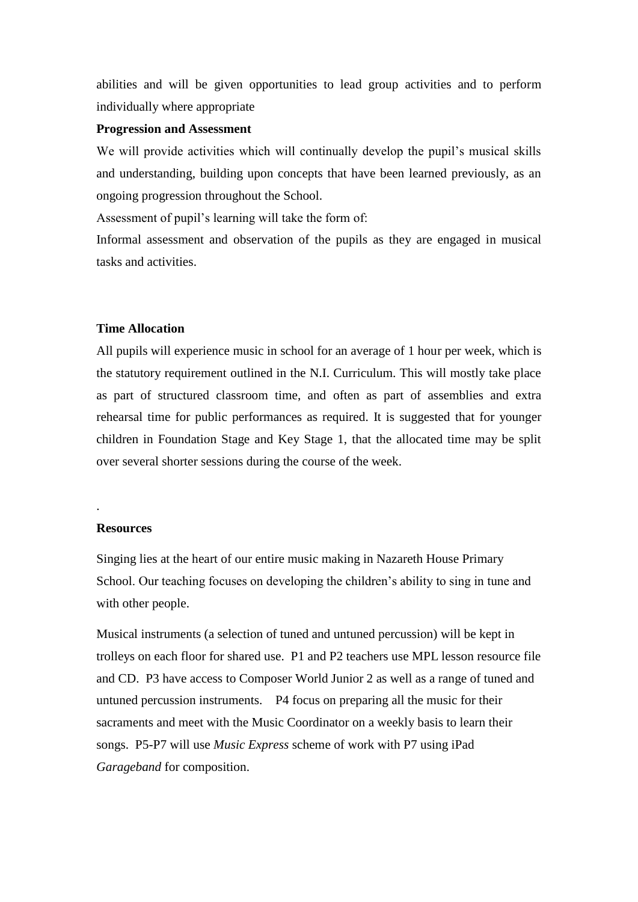abilities and will be given opportunities to lead group activities and to perform individually where appropriate

#### **Progression and Assessment**

We will provide activities which will continually develop the pupil's musical skills and understanding, building upon concepts that have been learned previously, as an ongoing progression throughout the School.

Assessment of pupil's learning will take the form of:

Informal assessment and observation of the pupils as they are engaged in musical tasks and activities.

#### **Time Allocation**

All pupils will experience music in school for an average of 1 hour per week, which is the statutory requirement outlined in the N.I. Curriculum. This will mostly take place as part of structured classroom time, and often as part of assemblies and extra rehearsal time for public performances as required. It is suggested that for younger children in Foundation Stage and Key Stage 1, that the allocated time may be split over several shorter sessions during the course of the week.

#### **Resources**

.

Singing lies at the heart of our entire music making in Nazareth House Primary School. Our teaching focuses on developing the children's ability to sing in tune and with other people.

Musical instruments (a selection of tuned and untuned percussion) will be kept in trolleys on each floor for shared use. P1 and P2 teachers use MPL lesson resource file and CD. P3 have access to Composer World Junior 2 as well as a range of tuned and untuned percussion instruments. P4 focus on preparing all the music for their sacraments and meet with the Music Coordinator on a weekly basis to learn their songs. P5-P7 will use *Music Express* scheme of work with P7 using iPad *Garageband* for composition.